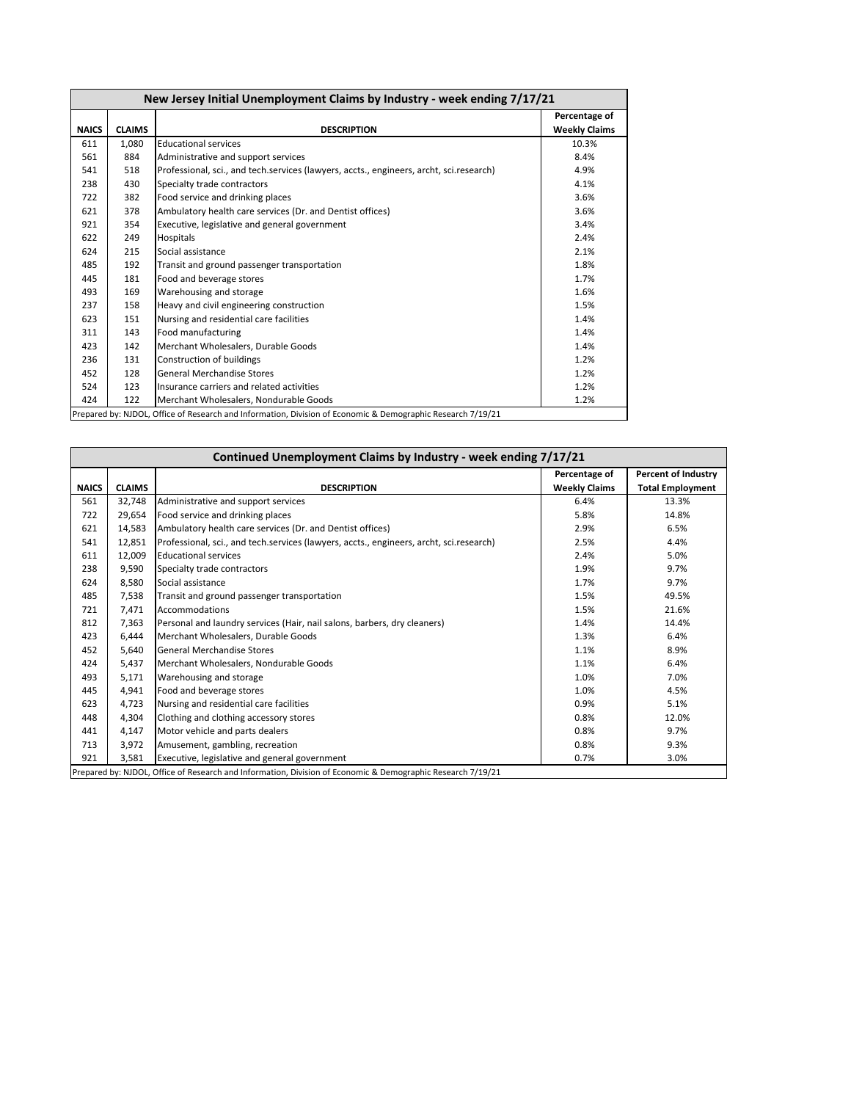| New Jersey Initial Unemployment Claims by Industry - week ending 7/17/21 |               |                                                                                         |                                       |  |  |
|--------------------------------------------------------------------------|---------------|-----------------------------------------------------------------------------------------|---------------------------------------|--|--|
| <b>NAICS</b>                                                             | <b>CLAIMS</b> | <b>DESCRIPTION</b>                                                                      | Percentage of<br><b>Weekly Claims</b> |  |  |
| 611                                                                      | 1,080         | <b>Educational services</b>                                                             | 10.3%                                 |  |  |
| 561                                                                      | 884           | Administrative and support services                                                     | 8.4%                                  |  |  |
| 541                                                                      | 518           | Professional, sci., and tech.services (lawyers, accts., engineers, archt, sci.research) | 4.9%                                  |  |  |
| 238                                                                      | 430           | Specialty trade contractors                                                             | 4.1%                                  |  |  |
| 722                                                                      | 382           | Food service and drinking places                                                        | 3.6%                                  |  |  |
| 621                                                                      | 378           | Ambulatory health care services (Dr. and Dentist offices)                               | 3.6%                                  |  |  |
| 921                                                                      | 354           | Executive, legislative and general government                                           | 3.4%                                  |  |  |
| 622                                                                      | 249           | Hospitals                                                                               | 2.4%                                  |  |  |
| 624                                                                      | 215           | Social assistance                                                                       | 2.1%                                  |  |  |
| 485                                                                      | 192           | Transit and ground passenger transportation                                             | 1.8%                                  |  |  |
| 445                                                                      | 181           | Food and beverage stores                                                                | 1.7%                                  |  |  |
| 493                                                                      | 169           | Warehousing and storage                                                                 | 1.6%                                  |  |  |
| 237                                                                      | 158           | Heavy and civil engineering construction                                                | 1.5%                                  |  |  |
| 623                                                                      | 151           | Nursing and residential care facilities                                                 | 1.4%                                  |  |  |
| 311                                                                      | 143           | Food manufacturing                                                                      | 1.4%                                  |  |  |
| 423                                                                      | 142           | Merchant Wholesalers, Durable Goods                                                     | 1.4%                                  |  |  |
| 236                                                                      | 131           | Construction of buildings                                                               | 1.2%                                  |  |  |
| 452                                                                      | 128           | <b>General Merchandise Stores</b>                                                       | 1.2%                                  |  |  |
| 524                                                                      | 123           | Insurance carriers and related activities                                               | 1.2%                                  |  |  |
| 424                                                                      | 122           | Merchant Wholesalers, Nondurable Goods                                                  | 1.2%                                  |  |  |

| Continued Unemployment Claims by Industry - week ending 7/17/21 |               |                                                                                         |                      |                            |  |  |  |
|-----------------------------------------------------------------|---------------|-----------------------------------------------------------------------------------------|----------------------|----------------------------|--|--|--|
|                                                                 |               |                                                                                         | Percentage of        | <b>Percent of Industry</b> |  |  |  |
| <b>NAICS</b>                                                    | <b>CLAIMS</b> | <b>DESCRIPTION</b>                                                                      | <b>Weekly Claims</b> | <b>Total Employment</b>    |  |  |  |
| 561                                                             | 32,748        | Administrative and support services                                                     | 6.4%                 | 13.3%                      |  |  |  |
| 722                                                             | 29,654        | Food service and drinking places                                                        | 5.8%                 | 14.8%                      |  |  |  |
| 621                                                             | 14,583        | Ambulatory health care services (Dr. and Dentist offices)                               | 2.9%                 | 6.5%                       |  |  |  |
| 541                                                             | 12,851        | Professional, sci., and tech.services (lawyers, accts., engineers, archt, sci.research) | 2.5%                 | 4.4%                       |  |  |  |
| 611                                                             | 12.009        | <b>Educational services</b>                                                             | 2.4%                 | 5.0%                       |  |  |  |
| 238                                                             | 9,590         | Specialty trade contractors                                                             | 1.9%                 | 9.7%                       |  |  |  |
| 624                                                             | 8,580         | Social assistance                                                                       | 1.7%                 | 9.7%                       |  |  |  |
| 485                                                             | 7,538         | Transit and ground passenger transportation                                             | 1.5%                 | 49.5%                      |  |  |  |
| 721                                                             | 7,471         | Accommodations                                                                          | 1.5%                 | 21.6%                      |  |  |  |
| 812                                                             | 7,363         | Personal and laundry services (Hair, nail salons, barbers, dry cleaners)                | 1.4%                 | 14.4%                      |  |  |  |
| 423                                                             | 6,444         | Merchant Wholesalers, Durable Goods                                                     | 1.3%                 | 6.4%                       |  |  |  |
| 452                                                             | 5,640         | <b>General Merchandise Stores</b>                                                       | 1.1%                 | 8.9%                       |  |  |  |
| 424                                                             | 5.437         | Merchant Wholesalers, Nondurable Goods                                                  | 1.1%                 | 6.4%                       |  |  |  |
| 493                                                             | 5,171         | Warehousing and storage                                                                 | 1.0%                 | 7.0%                       |  |  |  |
| 445                                                             | 4,941         | Food and beverage stores                                                                | 1.0%                 | 4.5%                       |  |  |  |
| 623                                                             | 4,723         | Nursing and residential care facilities                                                 | 0.9%                 | 5.1%                       |  |  |  |
| 448                                                             | 4,304         | Clothing and clothing accessory stores                                                  | 0.8%                 | 12.0%                      |  |  |  |
| 441                                                             | 4,147         | Motor vehicle and parts dealers                                                         | 0.8%                 | 9.7%                       |  |  |  |
| 713                                                             | 3,972         | Amusement, gambling, recreation                                                         | 0.8%                 | 9.3%                       |  |  |  |
| 921                                                             | 3,581         | Executive, legislative and general government                                           | 0.7%                 | 3.0%                       |  |  |  |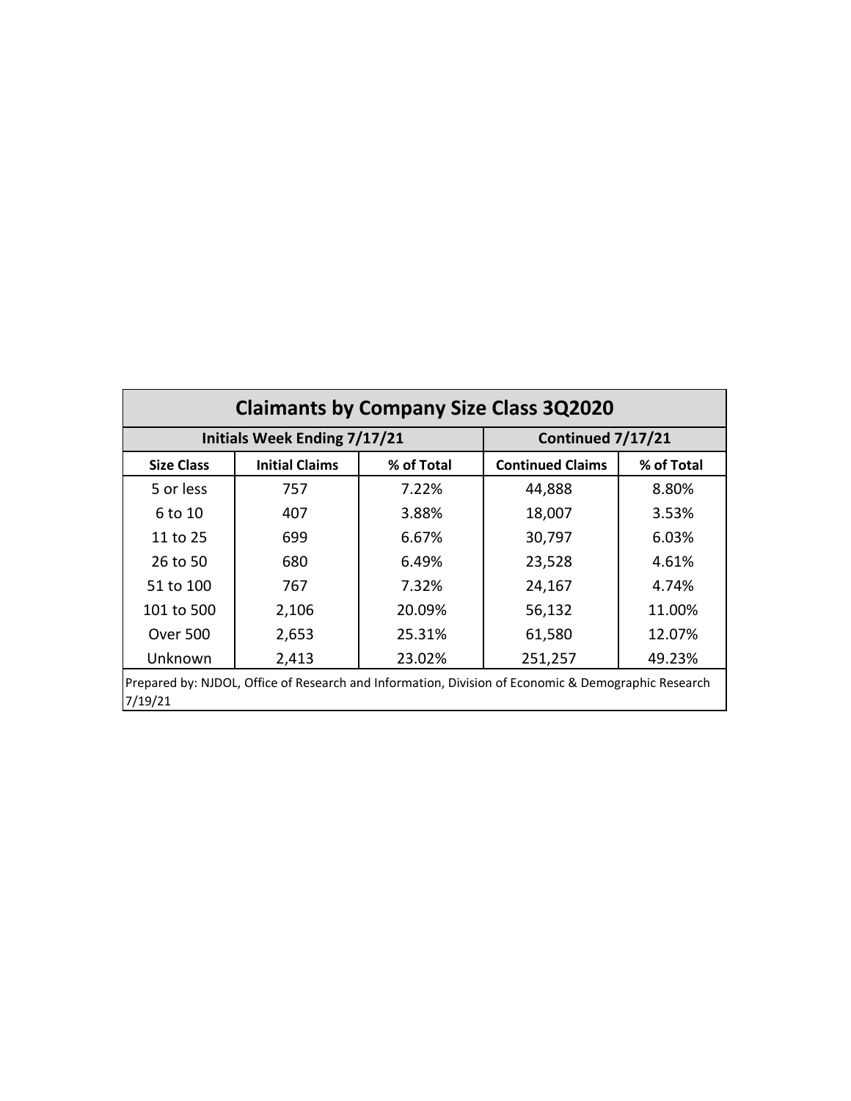| <b>Claimants by Company Size Class 3Q2020</b>                                                                  |                                     |                   |                         |            |  |  |  |
|----------------------------------------------------------------------------------------------------------------|-------------------------------------|-------------------|-------------------------|------------|--|--|--|
|                                                                                                                | <b>Initials Week Ending 7/17/21</b> | Continued 7/17/21 |                         |            |  |  |  |
| <b>Size Class</b>                                                                                              | <b>Initial Claims</b>               | % of Total        | <b>Continued Claims</b> | % of Total |  |  |  |
| 5 or less                                                                                                      | 757                                 | 7.22%             | 44,888                  | 8.80%      |  |  |  |
| 6 to 10                                                                                                        | 407                                 | 3.88%             | 18,007                  | 3.53%      |  |  |  |
| 11 to 25                                                                                                       | 699                                 | 6.67%             | 30,797                  | 6.03%      |  |  |  |
| 26 to 50                                                                                                       | 680                                 | 6.49%             | 23,528                  | 4.61%      |  |  |  |
| 51 to 100                                                                                                      | 767                                 | 7.32%             | 24,167                  | 4.74%      |  |  |  |
| 101 to 500                                                                                                     | 2,106                               | 20.09%            | 56,132                  | 11.00%     |  |  |  |
| <b>Over 500</b>                                                                                                | 2,653                               | 25.31%            | 61,580                  | 12.07%     |  |  |  |
| Unknown                                                                                                        | 2,413                               | 23.02%            | 251,257                 | 49.23%     |  |  |  |
| Prepared by: NJDOL, Office of Research and Information, Division of Economic & Demographic Research<br>7/19/21 |                                     |                   |                         |            |  |  |  |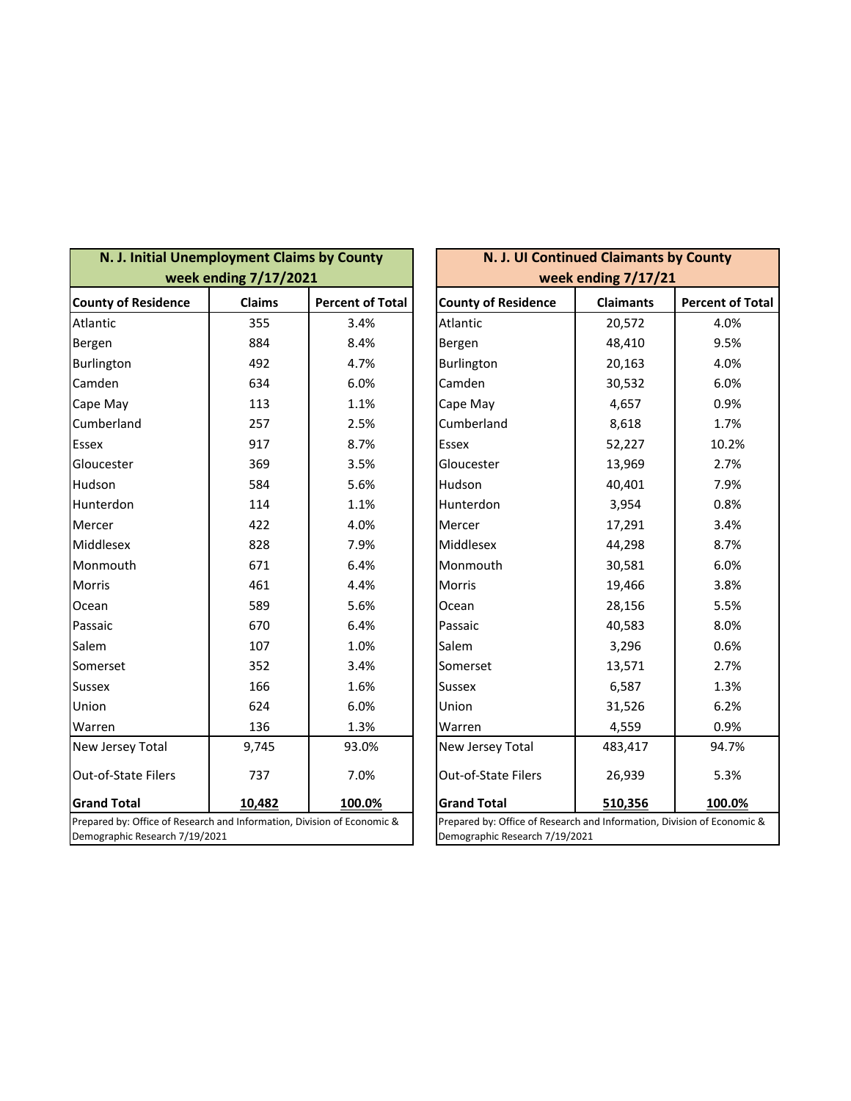| N. J. Initial Unemployment Claims by County                                                               | week ending 7/17/2021 |                         |  | N. J. UI Continued Claimants by County<br>week ending 7/17/21                                             |                  |                         |  |
|-----------------------------------------------------------------------------------------------------------|-----------------------|-------------------------|--|-----------------------------------------------------------------------------------------------------------|------------------|-------------------------|--|
| <b>County of Residence</b>                                                                                | <b>Claims</b>         | <b>Percent of Total</b> |  | <b>County of Residence</b>                                                                                | <b>Claimants</b> | <b>Percent of Total</b> |  |
| Atlantic                                                                                                  | 355                   | 3.4%                    |  | Atlantic                                                                                                  | 20,572           | 4.0%                    |  |
| Bergen                                                                                                    | 884                   | 8.4%                    |  | Bergen                                                                                                    | 48,410           | 9.5%                    |  |
| Burlington                                                                                                | 492                   | 4.7%                    |  | Burlington                                                                                                | 20,163           | 4.0%                    |  |
| Camden                                                                                                    | 634                   | 6.0%                    |  | Camden                                                                                                    | 30,532           | 6.0%                    |  |
| Cape May                                                                                                  | 113                   | 1.1%                    |  | Cape May                                                                                                  | 4,657            | 0.9%                    |  |
| Cumberland                                                                                                | 257                   | 2.5%                    |  | Cumberland                                                                                                | 8,618            | 1.7%                    |  |
| Essex                                                                                                     | 917                   | 8.7%                    |  | Essex                                                                                                     | 52,227           | 10.2%                   |  |
| Gloucester                                                                                                | 369                   | 3.5%                    |  | Gloucester                                                                                                | 13,969           | 2.7%                    |  |
| Hudson                                                                                                    | 584                   | 5.6%                    |  | Hudson                                                                                                    | 40,401           | 7.9%                    |  |
| Hunterdon                                                                                                 | 114                   | 1.1%                    |  | Hunterdon                                                                                                 | 3,954            | 0.8%                    |  |
| Mercer                                                                                                    | 422                   | 4.0%                    |  | Mercer                                                                                                    | 17,291           | 3.4%                    |  |
| Middlesex                                                                                                 | 828                   | 7.9%                    |  | Middlesex                                                                                                 | 44,298           | 8.7%                    |  |
| Monmouth                                                                                                  | 671                   | 6.4%                    |  | Monmouth                                                                                                  | 30,581           | 6.0%                    |  |
| <b>Morris</b>                                                                                             | 461                   | 4.4%                    |  | <b>Morris</b>                                                                                             | 19,466           | 3.8%                    |  |
| Ocean                                                                                                     | 589                   | 5.6%                    |  | Ocean                                                                                                     | 28,156           | 5.5%                    |  |
| Passaic                                                                                                   | 670                   | 6.4%                    |  | Passaic                                                                                                   | 40,583           | 8.0%                    |  |
| Salem                                                                                                     | 107                   | 1.0%                    |  | Salem                                                                                                     | 3,296            | 0.6%                    |  |
| Somerset                                                                                                  | 352                   | 3.4%                    |  | Somerset                                                                                                  | 13,571           | 2.7%                    |  |
| <b>Sussex</b>                                                                                             | 166                   | 1.6%                    |  | <b>Sussex</b>                                                                                             | 6,587            | 1.3%                    |  |
| Union                                                                                                     | 624                   | 6.0%                    |  | Union                                                                                                     | 31,526           | 6.2%                    |  |
| Warren                                                                                                    | 136                   | 1.3%                    |  | Warren                                                                                                    | 4,559            | 0.9%                    |  |
| New Jersey Total                                                                                          | 9,745                 | 93.0%                   |  | New Jersey Total                                                                                          | 483,417          | 94.7%                   |  |
| Out-of-State Filers                                                                                       | 737                   | 7.0%                    |  | Out-of-State Filers                                                                                       | 26,939           | 5.3%                    |  |
| <b>Grand Total</b>                                                                                        | 10,482                | 100.0%                  |  | <b>Grand Total</b>                                                                                        | 510,356          | 100.0%                  |  |
| Prepared by: Office of Research and Information, Division of Economic &<br>Demographic Research 7/19/2021 |                       |                         |  | Prepared by: Office of Research and Information, Division of Economic &<br>Demographic Research 7/19/2021 |                  |                         |  |

| N. J. UI Continued Claimants by County                                                                    |                  |                         |  |  |  |  |
|-----------------------------------------------------------------------------------------------------------|------------------|-------------------------|--|--|--|--|
| week ending 7/17/21                                                                                       |                  |                         |  |  |  |  |
| <b>County of Residence</b>                                                                                | <b>Claimants</b> | <b>Percent of Total</b> |  |  |  |  |
| Atlantic                                                                                                  | 20,572           | 4.0%                    |  |  |  |  |
| Bergen                                                                                                    | 48,410           | 9.5%                    |  |  |  |  |
| Burlington                                                                                                | 20,163           | 4.0%                    |  |  |  |  |
| Camden                                                                                                    | 30,532           | 6.0%                    |  |  |  |  |
| Cape May                                                                                                  | 4,657            | 0.9%                    |  |  |  |  |
| Cumberland                                                                                                | 8,618            | 1.7%                    |  |  |  |  |
| Essex                                                                                                     | 52,227           | 10.2%                   |  |  |  |  |
| Gloucester                                                                                                | 13,969           | 2.7%                    |  |  |  |  |
| Hudson                                                                                                    | 40,401           | 7.9%                    |  |  |  |  |
| Hunterdon                                                                                                 | 3,954            | 0.8%                    |  |  |  |  |
| Mercer                                                                                                    | 17,291           | 3.4%                    |  |  |  |  |
| Middlesex                                                                                                 | 44,298           | 8.7%                    |  |  |  |  |
| Monmouth                                                                                                  | 30,581           | 6.0%                    |  |  |  |  |
| Morris                                                                                                    | 19,466           | 3.8%                    |  |  |  |  |
| Ocean                                                                                                     | 28,156           | 5.5%                    |  |  |  |  |
| Passaic                                                                                                   | 40,583           | 8.0%                    |  |  |  |  |
| Salem                                                                                                     | 3,296            | 0.6%                    |  |  |  |  |
| Somerset                                                                                                  | 13,571           | 2.7%                    |  |  |  |  |
| Sussex                                                                                                    | 6,587            | 1.3%                    |  |  |  |  |
| Union                                                                                                     | 31,526           | 6.2%                    |  |  |  |  |
| Warren                                                                                                    | 4,559            | 0.9%                    |  |  |  |  |
| New Jersey Total                                                                                          | 483,417          | 94.7%                   |  |  |  |  |
| Out-of-State Filers                                                                                       | 26,939           | 5.3%                    |  |  |  |  |
| <b>Grand Total</b>                                                                                        | <u>510,356</u>   | <u> 100.0%</u>          |  |  |  |  |
| Prepared by: Office of Research and Information, Division of Economic &<br>Demographic Research 7/19/2021 |                  |                         |  |  |  |  |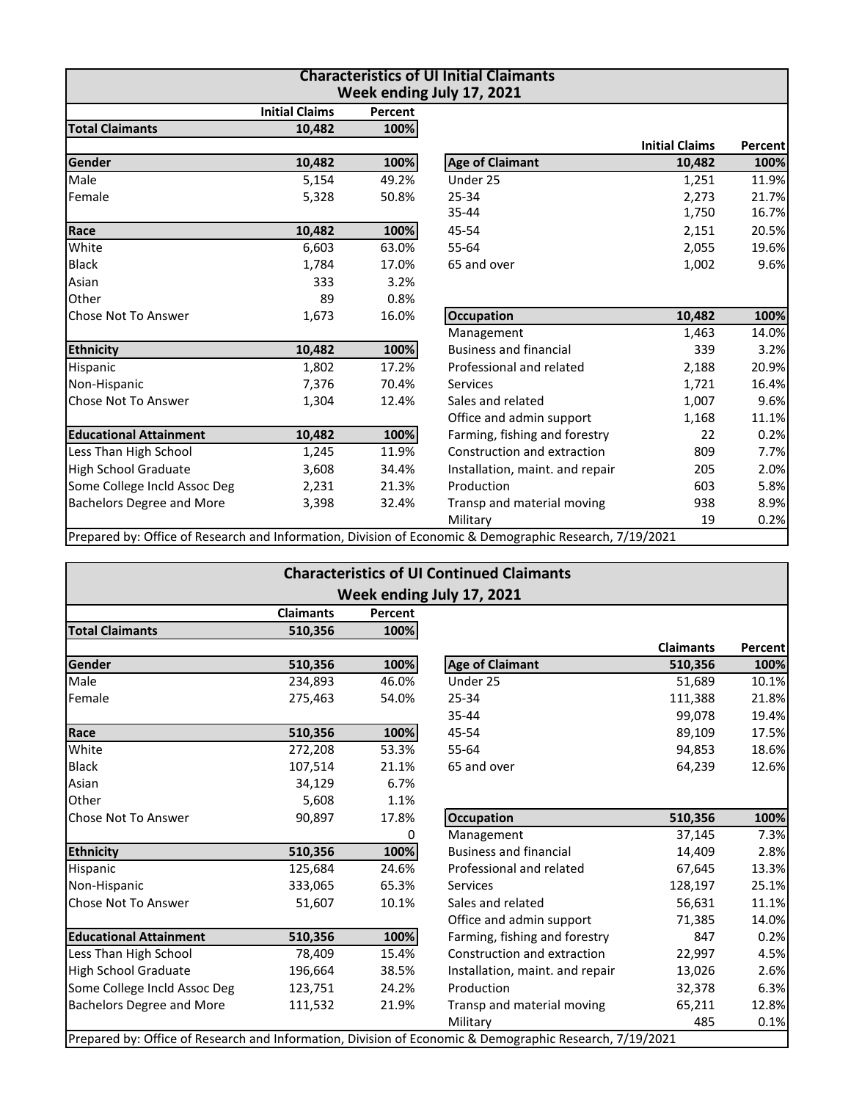| <b>Characteristics of UI Initial Claimants</b><br>Week ending July 17, 2021 |                       |         |                                                                                                         |                       |         |  |  |
|-----------------------------------------------------------------------------|-----------------------|---------|---------------------------------------------------------------------------------------------------------|-----------------------|---------|--|--|
|                                                                             | <b>Initial Claims</b> | Percent |                                                                                                         |                       |         |  |  |
| <b>Total Claimants</b>                                                      | 10,482                | 100%    |                                                                                                         |                       |         |  |  |
|                                                                             |                       |         |                                                                                                         | <b>Initial Claims</b> | Percent |  |  |
| Gender                                                                      | 10,482                | 100%    | <b>Age of Claimant</b>                                                                                  | 10,482                | 100%    |  |  |
| Male                                                                        | 5,154                 | 49.2%   | Under 25                                                                                                | 1,251                 | 11.9%   |  |  |
| Female                                                                      | 5,328                 | 50.8%   | 25-34                                                                                                   | 2,273                 | 21.7%   |  |  |
|                                                                             |                       |         | 35-44                                                                                                   | 1,750                 | 16.7%   |  |  |
| Race                                                                        | 10,482                | 100%    | 45-54                                                                                                   | 2,151                 | 20.5%   |  |  |
| White                                                                       | 6,603                 | 63.0%   | 55-64                                                                                                   | 2,055                 | 19.6%   |  |  |
| <b>Black</b>                                                                | 1,784                 | 17.0%   | 65 and over                                                                                             | 1,002                 | 9.6%    |  |  |
| Asian                                                                       | 333                   | 3.2%    |                                                                                                         |                       |         |  |  |
| Other                                                                       | 89                    | 0.8%    |                                                                                                         |                       |         |  |  |
| <b>Chose Not To Answer</b>                                                  | 1,673                 | 16.0%   | <b>Occupation</b>                                                                                       | 10,482                | 100%    |  |  |
|                                                                             |                       |         | Management                                                                                              | 1,463                 | 14.0%   |  |  |
| <b>Ethnicity</b>                                                            | 10,482                | 100%    | <b>Business and financial</b>                                                                           | 339                   | 3.2%    |  |  |
| Hispanic                                                                    | 1,802                 | 17.2%   | Professional and related                                                                                | 2,188                 | 20.9%   |  |  |
| Non-Hispanic                                                                | 7,376                 | 70.4%   | <b>Services</b>                                                                                         | 1,721                 | 16.4%   |  |  |
| Chose Not To Answer                                                         | 1,304                 | 12.4%   | Sales and related                                                                                       | 1,007                 | 9.6%    |  |  |
|                                                                             |                       |         | Office and admin support                                                                                | 1,168                 | 11.1%   |  |  |
| <b>Educational Attainment</b>                                               | 10,482                | 100%    | Farming, fishing and forestry                                                                           | 22                    | 0.2%    |  |  |
| Less Than High School                                                       | 1,245                 | 11.9%   | Construction and extraction                                                                             | 809                   | 7.7%    |  |  |
| High School Graduate                                                        | 3,608                 | 34.4%   | Installation, maint. and repair                                                                         | 205                   | 2.0%    |  |  |
| Some College Incld Assoc Deg                                                | 2,231                 | 21.3%   | Production                                                                                              | 603                   | 5.8%    |  |  |
| <b>Bachelors Degree and More</b>                                            | 3,398                 | 32.4%   | Transp and material moving                                                                              | 938                   | 8.9%    |  |  |
|                                                                             |                       |         | Military                                                                                                | 19                    | 0.2%    |  |  |
|                                                                             |                       |         | Prepared by: Office of Research and Information, Division of Economic & Demographic Research, 7/19/2021 |                       |         |  |  |

| <b>Characteristics of UI Continued Claimants</b> |                  |         |                                                                                                         |                  |                |  |  |  |
|--------------------------------------------------|------------------|---------|---------------------------------------------------------------------------------------------------------|------------------|----------------|--|--|--|
| Week ending July 17, 2021                        |                  |         |                                                                                                         |                  |                |  |  |  |
|                                                  | <b>Claimants</b> | Percent |                                                                                                         |                  |                |  |  |  |
| <b>Total Claimants</b>                           | 510,356          | 100%    |                                                                                                         |                  |                |  |  |  |
|                                                  |                  |         |                                                                                                         | <b>Claimants</b> | <b>Percent</b> |  |  |  |
| Gender                                           | 510,356          | 100%    | <b>Age of Claimant</b>                                                                                  | 510,356          | 100%           |  |  |  |
| Male                                             | 234,893          | 46.0%   | Under 25                                                                                                | 51,689           | 10.1%          |  |  |  |
| Female                                           | 275,463          | 54.0%   | 25-34                                                                                                   | 111,388          | 21.8%          |  |  |  |
|                                                  |                  |         | 35-44                                                                                                   | 99,078           | 19.4%          |  |  |  |
| Race                                             | 510,356          | 100%    | 45-54                                                                                                   | 89,109           | 17.5%          |  |  |  |
| White                                            | 272,208          | 53.3%   | 55-64                                                                                                   | 94,853           | 18.6%          |  |  |  |
| <b>Black</b>                                     | 107,514          | 21.1%   | 65 and over                                                                                             | 64,239           | 12.6%          |  |  |  |
| Asian                                            | 34,129           | 6.7%    |                                                                                                         |                  |                |  |  |  |
| Other                                            | 5,608            | 1.1%    |                                                                                                         |                  |                |  |  |  |
| <b>Chose Not To Answer</b>                       | 90,897           | 17.8%   | <b>Occupation</b>                                                                                       | 510,356          | 100%           |  |  |  |
|                                                  |                  | 0       | Management                                                                                              | 37,145           | 7.3%           |  |  |  |
| <b>Ethnicity</b>                                 | 510,356          | 100%    | <b>Business and financial</b>                                                                           | 14,409           | 2.8%           |  |  |  |
| Hispanic                                         | 125,684          | 24.6%   | Professional and related                                                                                | 67,645           | 13.3%          |  |  |  |
| Non-Hispanic                                     | 333,065          | 65.3%   | <b>Services</b>                                                                                         | 128,197          | 25.1%          |  |  |  |
| Chose Not To Answer                              | 51,607           | 10.1%   | Sales and related                                                                                       | 56,631           | 11.1%          |  |  |  |
|                                                  |                  |         | Office and admin support                                                                                | 71,385           | 14.0%          |  |  |  |
| <b>Educational Attainment</b>                    | 510,356          | 100%    | Farming, fishing and forestry                                                                           | 847              | 0.2%           |  |  |  |
| Less Than High School                            | 78,409           | 15.4%   | Construction and extraction                                                                             | 22,997           | 4.5%           |  |  |  |
| High School Graduate                             | 196,664          | 38.5%   | Installation, maint. and repair                                                                         | 13,026           | 2.6%           |  |  |  |
| Some College Incld Assoc Deg                     | 123,751          | 24.2%   | Production                                                                                              | 32,378           | 6.3%           |  |  |  |
| <b>Bachelors Degree and More</b>                 | 111,532          | 21.9%   | Transp and material moving                                                                              | 65,211           | 12.8%          |  |  |  |
|                                                  |                  |         | Military                                                                                                | 485              | 0.1%           |  |  |  |
|                                                  |                  |         | Prepared by: Office of Research and Information, Division of Economic & Demographic Research, 7/19/2021 |                  |                |  |  |  |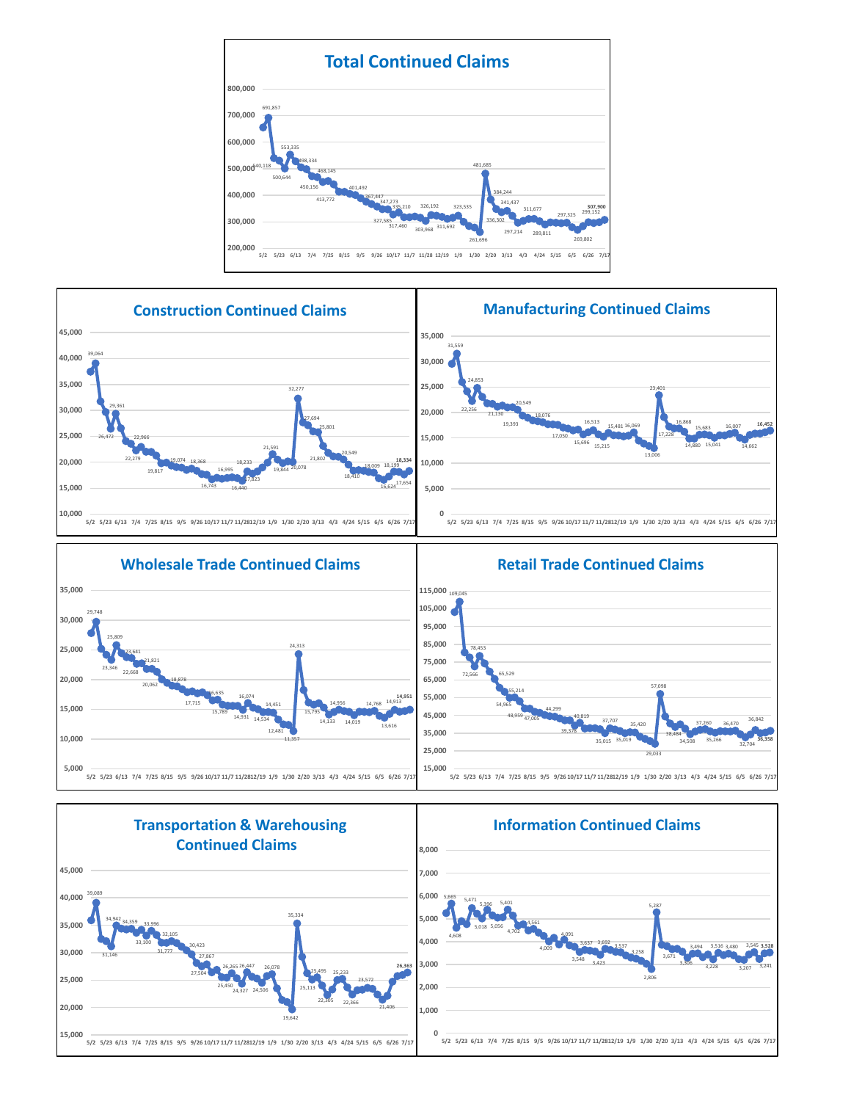